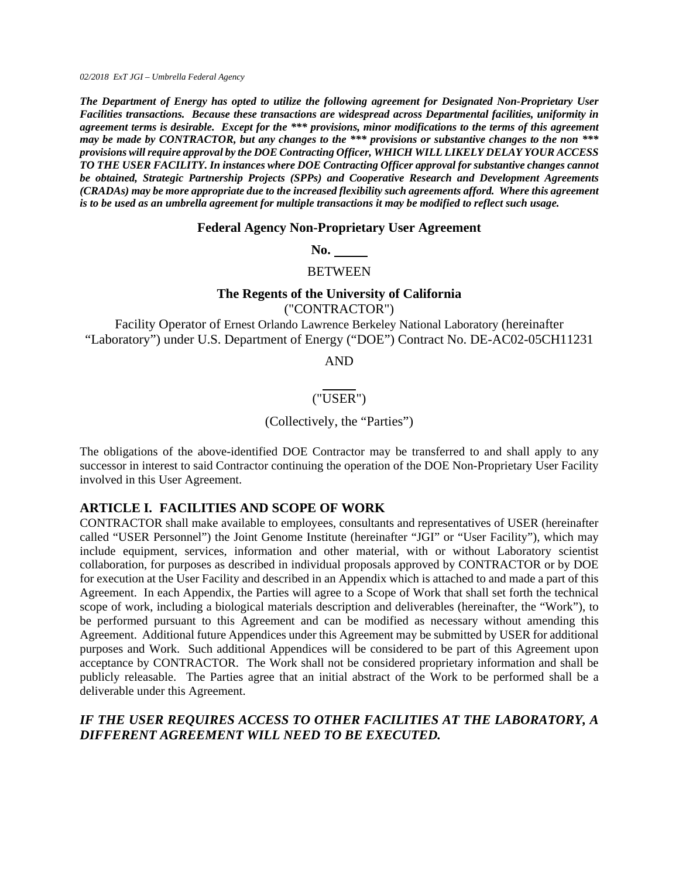*02/2018 ExT JGI – Umbrella Federal Agency* 

*The Department of Energy has opted to utilize the following agreement for Designated Non-Proprietary User Facilities transactions. Because these transactions are widespread across Departmental facilities, uniformity in agreement terms is desirable. Except for the \*\*\* provisions, minor modifications to the terms of this agreement may be made by CONTRACTOR, but any changes to the \*\*\* provisions or substantive changes to the non \*\*\* provisions will require approval by the DOE Contracting Officer, WHICH WILL LIKELY DELAY YOUR ACCESS TO THE USER FACILITY. In instances where DOE Contracting Officer approval for substantive changes cannot be obtained, Strategic Partnership Projects (SPPs) and Cooperative Research and Development Agreements (CRADAs) may be more appropriate due to the increased flexibility such agreements afford. Where this agreement is to be used as an umbrella agreement for multiple transactions it may be modified to reflect such usage.* 

#### **Federal Agency Non-Proprietary User Agreement**

**No.** 

**BETWEEN** 

#### **The Regents of the University of California**

("CONTRACTOR")

Facility Operator of Ernest Orlando Lawrence Berkeley National Laboratory (hereinafter "Laboratory") under U.S. Department of Energy ("DOE") Contract No. DE-AC02-05CH11231

AND

#### ("USER")

#### (Collectively, the "Parties")

The obligations of the above-identified DOE Contractor may be transferred to and shall apply to any successor in interest to said Contractor continuing the operation of the DOE Non-Proprietary User Facility involved in this User Agreement.

#### **ARTICLE I. FACILITIES AND SCOPE OF WORK**

CONTRACTOR shall make available to employees, consultants and representatives of USER (hereinafter called "USER Personnel") the Joint Genome Institute (hereinafter "JGI" or "User Facility"), which may include equipment, services, information and other material, with or without Laboratory scientist collaboration, for purposes as described in individual proposals approved by CONTRACTOR or by DOE for execution at the User Facility and described in an Appendix which is attached to and made a part of this Agreement. In each Appendix, the Parties will agree to a Scope of Work that shall set forth the technical scope of work, including a biological materials description and deliverables (hereinafter, the "Work"), to be performed pursuant to this Agreement and can be modified as necessary without amending this Agreement. Additional future Appendices under this Agreement may be submitted by USER for additional purposes and Work. Such additional Appendices will be considered to be part of this Agreement upon acceptance by CONTRACTOR. The Work shall not be considered proprietary information and shall be publicly releasable. The Parties agree that an initial abstract of the Work to be performed shall be a deliverable under this Agreement.

## *IF THE USER REQUIRES ACCESS TO OTHER FACILITIES AT THE LABORATORY, A DIFFERENT AGREEMENT WILL NEED TO BE EXECUTED.*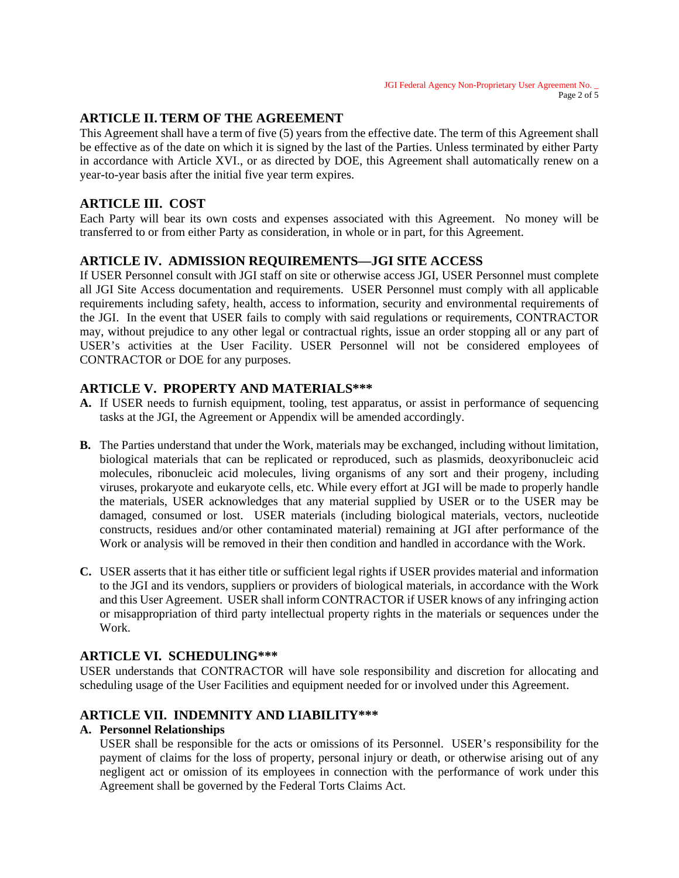# **ARTICLE II. TERM OF THE AGREEMENT**

This Agreement shall have a term of five (5) years from the effective date. The term of this Agreement shall be effective as of the date on which it is signed by the last of the Parties. Unless terminated by either Party in accordance with Article XVI., or as directed by DOE, this Agreement shall automatically renew on a year-to-year basis after the initial five year term expires.

## **ARTICLE III. COST**

Each Party will bear its own costs and expenses associated with this Agreement. No money will be transferred to or from either Party as consideration, in whole or in part, for this Agreement.

## **ARTICLE IV. ADMISSION REQUIREMENTS—JGI SITE ACCESS**

If USER Personnel consult with JGI staff on site or otherwise access JGI, USER Personnel must complete all JGI Site Access documentation and requirements. USER Personnel must comply with all applicable requirements including safety, health, access to information, security and environmental requirements of the JGI. In the event that USER fails to comply with said regulations or requirements, CONTRACTOR may, without prejudice to any other legal or contractual rights, issue an order stopping all or any part of USER's activities at the User Facility. USER Personnel will not be considered employees of CONTRACTOR or DOE for any purposes.

#### **ARTICLE V. PROPERTY AND MATERIALS\*\*\***

- **A.** If USER needs to furnish equipment, tooling, test apparatus, or assist in performance of sequencing tasks at the JGI, the Agreement or Appendix will be amended accordingly.
- **B.** The Parties understand that under the Work, materials may be exchanged, including without limitation, biological materials that can be replicated or reproduced, such as plasmids, deoxyribonucleic acid molecules, ribonucleic acid molecules, living organisms of any sort and their progeny, including viruses, prokaryote and eukaryote cells, etc. While every effort at JGI will be made to properly handle the materials, USER acknowledges that any material supplied by USER or to the USER may be damaged, consumed or lost. USER materials (including biological materials, vectors, nucleotide constructs, residues and/or other contaminated material) remaining at JGI after performance of the Work or analysis will be removed in their then condition and handled in accordance with the Work.
- **C.** USER asserts that it has either title or sufficient legal rights if USER provides material and information to the JGI and its vendors, suppliers or providers of biological materials, in accordance with the Work and this User Agreement. USER shall inform CONTRACTOR if USER knows of any infringing action or misappropriation of third party intellectual property rights in the materials or sequences under the Work.

## **ARTICLE VI. SCHEDULING\*\*\***

USER understands that CONTRACTOR will have sole responsibility and discretion for allocating and scheduling usage of the User Facilities and equipment needed for or involved under this Agreement.

## **ARTICLE VII. INDEMNITY AND LIABILITY\*\*\***

## **A. Personnel Relationships**

USER shall be responsible for the acts or omissions of its Personnel. USER's responsibility for the payment of claims for the loss of property, personal injury or death, or otherwise arising out of any negligent act or omission of its employees in connection with the performance of work under this Agreement shall be governed by the Federal Torts Claims Act.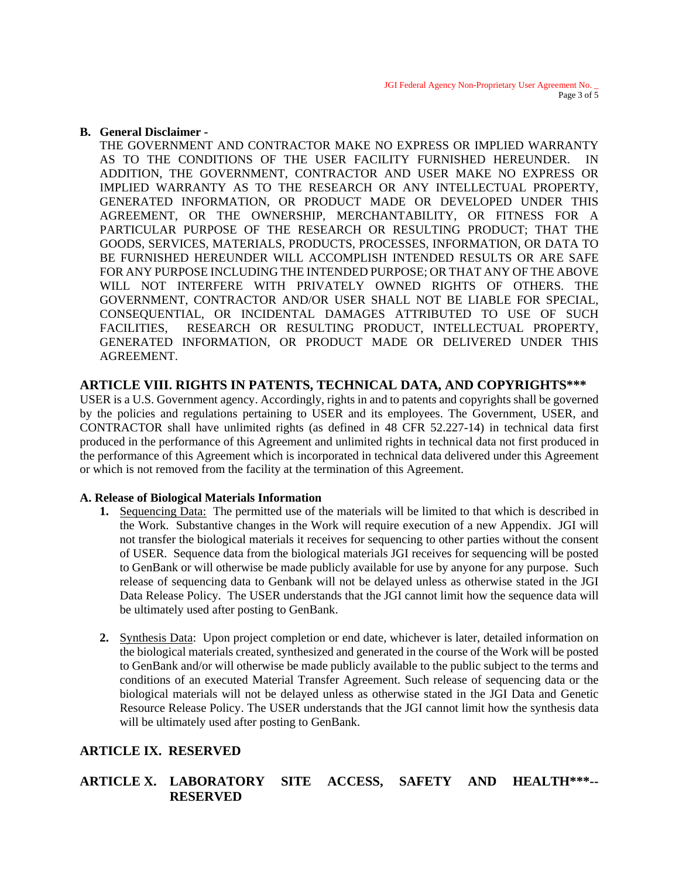#### **B. General Disclaimer -**

THE GOVERNMENT AND CONTRACTOR MAKE NO EXPRESS OR IMPLIED WARRANTY AS TO THE CONDITIONS OF THE USER FACILITY FURNISHED HEREUNDER. IN ADDITION, THE GOVERNMENT, CONTRACTOR AND USER MAKE NO EXPRESS OR IMPLIED WARRANTY AS TO THE RESEARCH OR ANY INTELLECTUAL PROPERTY, GENERATED INFORMATION, OR PRODUCT MADE OR DEVELOPED UNDER THIS AGREEMENT, OR THE OWNERSHIP, MERCHANTABILITY, OR FITNESS FOR A PARTICULAR PURPOSE OF THE RESEARCH OR RESULTING PRODUCT; THAT THE GOODS, SERVICES, MATERIALS, PRODUCTS, PROCESSES, INFORMATION, OR DATA TO BE FURNISHED HEREUNDER WILL ACCOMPLISH INTENDED RESULTS OR ARE SAFE FOR ANY PURPOSE INCLUDING THE INTENDED PURPOSE; OR THAT ANY OF THE ABOVE WILL NOT INTERFERE WITH PRIVATELY OWNED RIGHTS OF OTHERS. THE GOVERNMENT, CONTRACTOR AND/OR USER SHALL NOT BE LIABLE FOR SPECIAL, CONSEQUENTIAL, OR INCIDENTAL DAMAGES ATTRIBUTED TO USE OF SUCH FACILITIES, RESEARCH OR RESULTING PRODUCT, INTELLECTUAL PROPERTY, GENERATED INFORMATION, OR PRODUCT MADE OR DELIVERED UNDER THIS AGREEMENT.

## **ARTICLE VIII. RIGHTS IN PATENTS, TECHNICAL DATA, AND COPYRIGHTS\*\*\***

USER is a U.S. Government agency. Accordingly, rights in and to patents and copyrights shall be governed by the policies and regulations pertaining to USER and its employees. The Government, USER, and CONTRACTOR shall have unlimited rights (as defined in 48 CFR 52.227-14) in technical data first produced in the performance of this Agreement and unlimited rights in technical data not first produced in the performance of this Agreement which is incorporated in technical data delivered under this Agreement or which is not removed from the facility at the termination of this Agreement.

## **A. Release of Biological Materials Information**

- **1.** Sequencing Data: The permitted use of the materials will be limited to that which is described in the Work. Substantive changes in the Work will require execution of a new Appendix. JGI will not transfer the biological materials it receives for sequencing to other parties without the consent of USER. Sequence data from the biological materials JGI receives for sequencing will be posted to GenBank or will otherwise be made publicly available for use by anyone for any purpose. Such release of sequencing data to Genbank will not be delayed unless as otherwise stated in the JGI Data Release Policy. The USER understands that the JGI cannot limit how the sequence data will be ultimately used after posting to GenBank.
- **2.** Synthesis Data: Upon project completion or end date, whichever is later, detailed information on the biological materials created, synthesized and generated in the course of the Work will be posted to GenBank and/or will otherwise be made publicly available to the public subject to the terms and conditions of an executed Material Transfer Agreement. Such release of sequencing data or the biological materials will not be delayed unless as otherwise stated in the JGI Data and Genetic Resource Release Policy. The USER understands that the JGI cannot limit how the synthesis data will be ultimately used after posting to GenBank.

# **ARTICLE IX. RESERVED**

# **ARTICLE X. LABORATORY SITE ACCESS, SAFETY AND HEALTH\*\*\*-- RESERVED**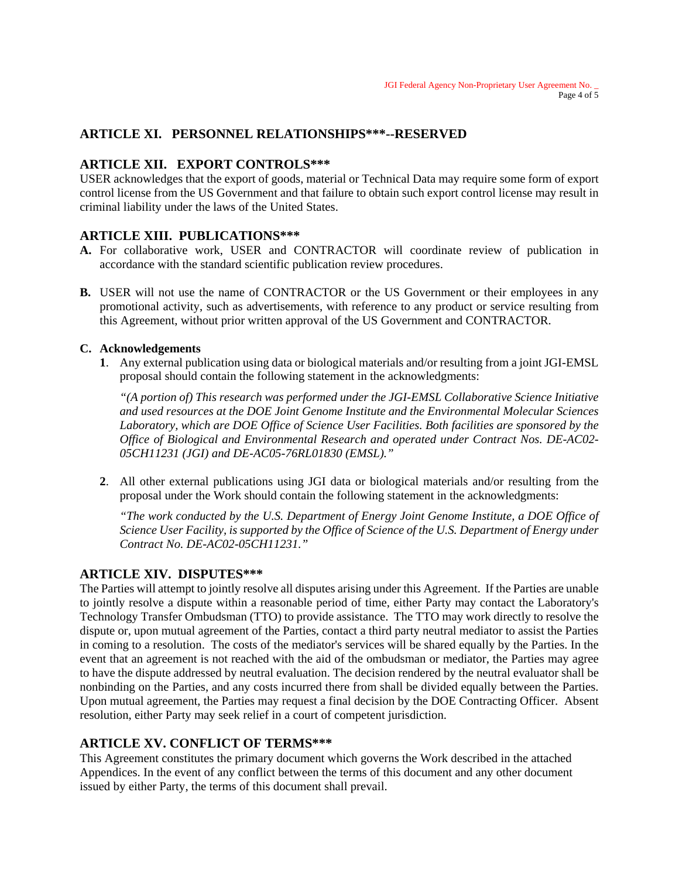# **ARTICLE XI. PERSONNEL RELATIONSHIPS\*\*\*--RESERVED**

# **ARTICLE XII. EXPORT CONTROLS\*\*\***

USER acknowledges that the export of goods, material or Technical Data may require some form of export control license from the US Government and that failure to obtain such export control license may result in criminal liability under the laws of the United States.

# **ARTICLE XIII. PUBLICATIONS\*\*\***

- **A.** For collaborative work, USER and CONTRACTOR will coordinate review of publication in accordance with the standard scientific publication review procedures.
- **B.** USER will not use the name of CONTRACTOR or the US Government or their employees in any promotional activity, such as advertisements, with reference to any product or service resulting from this Agreement, without prior written approval of the US Government and CONTRACTOR.

## **C. Acknowledgements**

**1**. Any external publication using data or biological materials and/or resulting from a joint JGI-EMSL proposal should contain the following statement in the acknowledgments:

*"(A portion of) This research was performed under the JGI-EMSL Collaborative Science Initiative and used resources at the DOE Joint Genome Institute and the Environmental Molecular Sciences Laboratory, which are DOE Office of Science User Facilities. Both facilities are sponsored by the Office of Biological and Environmental Research and operated under Contract Nos. DE-AC02- 05CH11231 (JGI) and DE-AC05-76RL01830 (EMSL)."* 

**2**. All other external publications using JGI data or biological materials and/or resulting from the proposal under the Work should contain the following statement in the acknowledgments:

*"The work conducted by the U.S. Department of Energy Joint Genome Institute, a DOE Office of Science User Facility, is supported by the Office of Science of the U.S. Department of Energy under Contract No. DE-AC02-05CH11231."*

## **ARTICLE XIV. DISPUTES\*\*\***

The Parties will attempt to jointly resolve all disputes arising under this Agreement. If the Parties are unable to jointly resolve a dispute within a reasonable period of time, either Party may contact the Laboratory's Technology Transfer Ombudsman (TTO) to provide assistance. The TTO may work directly to resolve the dispute or, upon mutual agreement of the Parties, contact a third party neutral mediator to assist the Parties in coming to a resolution. The costs of the mediator's services will be shared equally by the Parties. In the event that an agreement is not reached with the aid of the ombudsman or mediator, the Parties may agree to have the dispute addressed by neutral evaluation. The decision rendered by the neutral evaluator shall be nonbinding on the Parties, and any costs incurred there from shall be divided equally between the Parties. Upon mutual agreement, the Parties may request a final decision by the DOE Contracting Officer. Absent resolution, either Party may seek relief in a court of competent jurisdiction.

# **ARTICLE XV. CONFLICT OF TERMS\*\*\***

This Agreement constitutes the primary document which governs the Work described in the attached Appendices. In the event of any conflict between the terms of this document and any other document issued by either Party, the terms of this document shall prevail.